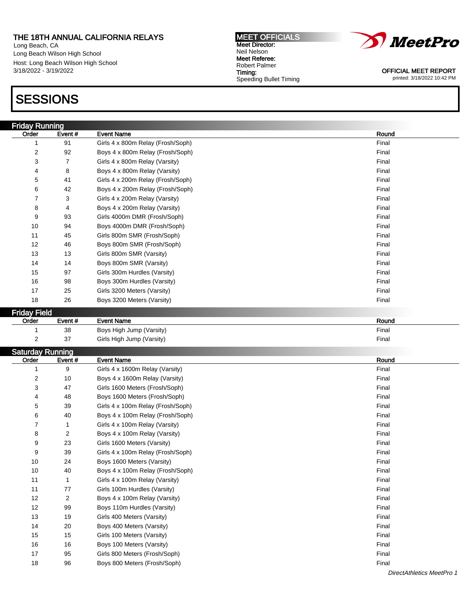## THE 18TH ANNUAL CALIFORNIA RELAYS

Long Beach, CA Long Beach Wilson High School Host: Long Beach Wilson High School 3/18/2022 - 3/19/2022

## **SESSIONS**

MEET OFFICIALS Meet Director: Neil Nelson Meet Referee: Robert Palmer Timing: Speeding Bullet Timing



OFFICIAL MEET REPORT printed: 3/18/2022 10:42 PM

| <b>Friday Running</b>   |        |                                   |       |
|-------------------------|--------|-----------------------------------|-------|
| Order                   | Event# | <b>Event Name</b>                 | Round |
| 1                       | 91     | Girls 4 x 800m Relay (Frosh/Soph) | Final |
| $\boldsymbol{2}$        | 92     | Boys 4 x 800m Relay (Frosh/Soph)  | Final |
| 3                       | 7      | Girls 4 x 800m Relay (Varsity)    | Final |
| 4                       | 8      | Boys 4 x 800m Relay (Varsity)     | Final |
| 5                       | 41     | Girls 4 x 200m Relay (Frosh/Soph) | Final |
| 6                       | 42     | Boys 4 x 200m Relay (Frosh/Soph)  | Final |
| $\overline{7}$          | 3      | Girls 4 x 200m Relay (Varsity)    | Final |
| 8                       | 4      | Boys 4 x 200m Relay (Varsity)     | Final |
| 9                       | 93     | Girls 4000m DMR (Frosh/Soph)      | Final |
| 10                      | 94     | Boys 4000m DMR (Frosh/Soph)       | Final |
| 11                      | 45     | Girls 800m SMR (Frosh/Soph)       | Final |
| 12                      | 46     | Boys 800m SMR (Frosh/Soph)        | Final |
| 13                      | 13     | Girls 800m SMR (Varsity)          | Final |
| 14                      | 14     | Boys 800m SMR (Varsity)           | Final |
| 15                      | 97     | Girls 300m Hurdles (Varsity)      | Final |
| 16                      | 98     | Boys 300m Hurdles (Varsity)       | Final |
| 17                      | 25     | Girls 3200 Meters (Varsity)       | Final |
| 18                      | 26     | Boys 3200 Meters (Varsity)        | Final |
| <b>Friday Field</b>     |        |                                   |       |
| Order                   | Event# | <b>Event Name</b>                 | Round |
| $\mathbf{1}$            | 38     | Boys High Jump (Varsity)          | Final |
| $\overline{\mathbf{c}}$ | 37     | Girls High Jump (Varsity)         | Final |
| <b>Saturday Running</b> |        |                                   |       |
| Order                   | Event# | <b>Event Name</b>                 | Round |
| 1                       | 9      | Girls 4 x 1600m Relay (Varsity)   | Final |
| 2                       | 10     | Boys 4 x 1600m Relay (Varsity)    | Final |
| 3                       | 47     | Girls 1600 Meters (Frosh/Soph)    | Final |
| 4                       | 48     | Boys 1600 Meters (Frosh/Soph)     | Final |
| 5                       | 39     | Girls 4 x 100m Relay (Frosh/Soph) | Final |
| 6                       | 40     | Boys 4 x 100m Relay (Frosh/Soph)  | Final |
| 7                       | 1      | Girls 4 x 100m Relay (Varsity)    | Final |
| 8                       | 2      | Boys 4 x 100m Relay (Varsity)     | Final |
| 9                       | 23     | Girls 1600 Meters (Varsity)       | Final |
| 9                       | 39     | Girls 4 x 100m Relay (Frosh/Soph) | Final |
| 10                      | 24     | Boys 1600 Meters (Varsity)        | Final |
| 10                      | 40     | Boys 4 x 100m Relay (Frosh/Soph)  | Final |
| 11                      | 1      | Girls 4 x 100m Relay (Varsity)    | Final |

11 77 Girls 100m Hurdles (Varsity) **Final** 12 2 Boys 4 x 100m Relay (Varsity) **Final** 12 99 Boys 110m Hurdles (Varsity) **Final** 13 19 Girls 400 Meters (Varsity) Final 14 20 Boys 400 Meters (Varsity) **Final** 15 15 Girls 100 Meters (Varsity) Final 16 16 Boys 100 Meters (Varsity) Final 17 95 Girls 800 Meters (Frosh/Soph) **Final** Girls 800 Meters (Frosh/Soph) 18 96 Boys 800 Meters (Frosh/Soph) **Final** Boys 800 Meters (Frosh/Soph)